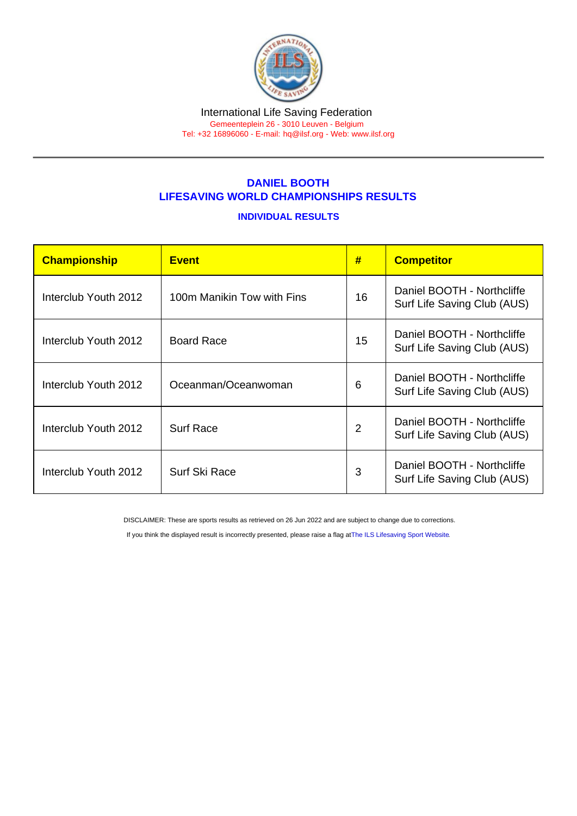## DANIEL BOOTH LIFESAVING WORLD CHAMPIONSHIPS RESULTS

## INDIVIDUAL RESULTS

| Championship         | <b>Event</b>               | #              | <b>Competitor</b>                                         |
|----------------------|----------------------------|----------------|-----------------------------------------------------------|
| Interclub Youth 2012 | 100m Manikin Tow with Fins | 16             | Daniel BOOTH - Northcliffe<br>Surf Life Saving Club (AUS) |
| Interclub Youth 2012 | <b>Board Race</b>          | 15             | Daniel BOOTH - Northcliffe<br>Surf Life Saving Club (AUS) |
| Interclub Youth 2012 | Oceanman/Oceanwoman        | 6              | Daniel BOOTH - Northcliffe<br>Surf Life Saving Club (AUS) |
| Interclub Youth 2012 | <b>Surf Race</b>           | $\overline{2}$ | Daniel BOOTH - Northcliffe<br>Surf Life Saving Club (AUS) |
| Interclub Youth 2012 | Surf Ski Race              | 3              | Daniel BOOTH - Northcliffe<br>Surf Life Saving Club (AUS) |

DISCLAIMER: These are sports results as retrieved on 26 Jun 2022 and are subject to change due to corrections.

If you think the displayed result is incorrectly presented, please raise a flag at [The ILS Lifesaving Sport Website.](https://sport.ilsf.org)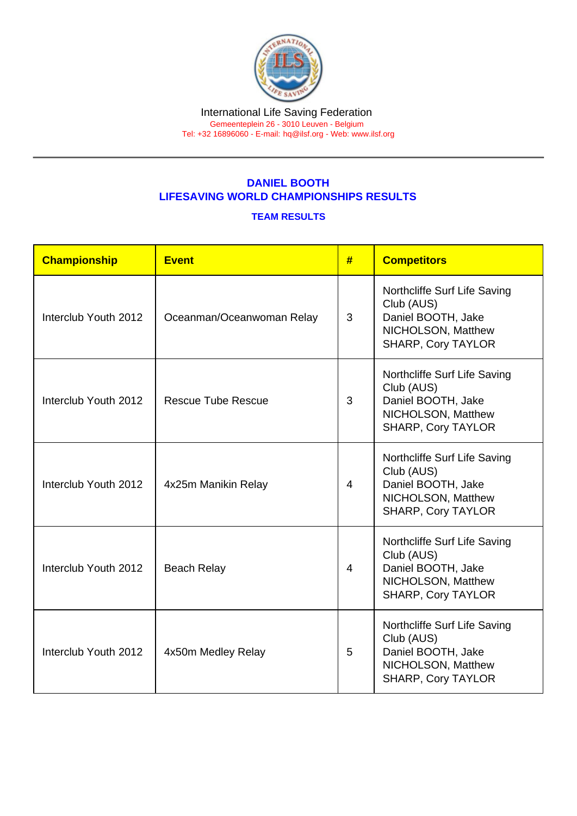## DANIEL BOOTH LIFESAVING WORLD CHAMPIONSHIPS RESULTS

## TEAM RESULTS

| Championship         | <b>Event</b>              | #              | <b>Competitors</b>                                                                                                  |
|----------------------|---------------------------|----------------|---------------------------------------------------------------------------------------------------------------------|
| Interclub Youth 2012 | Oceanman/Oceanwoman Relay | 3              | Northcliffe Surf Life Saving<br>Club (AUS)<br>Daniel BOOTH, Jake<br>NICHOLSON, Matthew<br><b>SHARP, Cory TAYLOR</b> |
| Interclub Youth 2012 | <b>Rescue Tube Rescue</b> | 3              | Northcliffe Surf Life Saving<br>Club (AUS)<br>Daniel BOOTH, Jake<br>NICHOLSON, Matthew<br><b>SHARP, Cory TAYLOR</b> |
| Interclub Youth 2012 | 4x25m Manikin Relay       | $\overline{4}$ | Northcliffe Surf Life Saving<br>Club (AUS)<br>Daniel BOOTH, Jake<br>NICHOLSON, Matthew<br><b>SHARP, Cory TAYLOR</b> |
| Interclub Youth 2012 | <b>Beach Relay</b>        | $\overline{4}$ | Northcliffe Surf Life Saving<br>Club (AUS)<br>Daniel BOOTH, Jake<br>NICHOLSON, Matthew<br><b>SHARP, Cory TAYLOR</b> |
| Interclub Youth 2012 | 4x50m Medley Relay        | 5              | Northcliffe Surf Life Saving<br>Club (AUS)<br>Daniel BOOTH, Jake<br>NICHOLSON, Matthew<br><b>SHARP, Cory TAYLOR</b> |